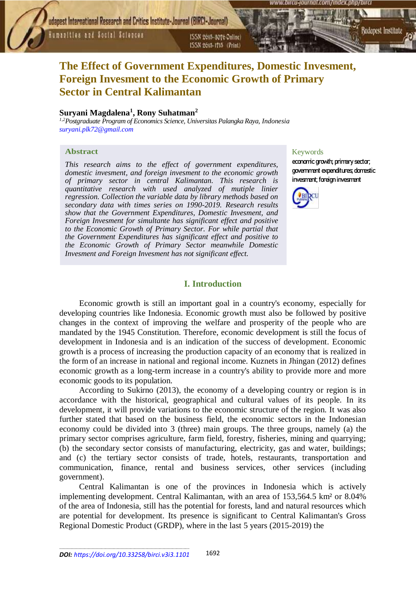Humanities and Social Sciences

ISSN 2015-3076 Online) ISSN 2615-1715 (Print)



# **The Effect of Government Expenditures, Domestic Invesment, Foreign Invesment to the Economic Growth of Primary Sector in Central Kalimantan**

# **Suryani Magdalena<sup>1</sup> , Rony Suhatman<sup>2</sup>**

*1,2Postgraduate Program of Economics Science, Universitas Palangka Raya, Indonesia [suryani.plk72@gmail.com](mailto:suryani.plk72@gmail.com)*

# **Abstract**

*This research aims to the effect of government expenditures, domestic invesment, and foreign invesment to the economic growth of primary sector in central Kalimantan. This research is quantitative research with used analyzed of mutiple linier regression. Collection the variable data by library methods based on secondary data with times series on 1990-2019. Research results show that the Government Expenditures, Domestic Invesment, and Foreign Invesment for simultante has significant effect and positive to the Economic Growth of Primary Sector. For while partial that the Government Expenditures has significant effect and positive to the Economic Growth of Primary Sector meanwhile Domestic Invesment and Foreign Invesment has not significant effect.*

# Keywords

economic growth; primary sector; government expenditures; domestic invesment; foreign invesment



# **I. Introduction**

Economic growth is still an important goal in a country's economy, especially for developing countries like Indonesia. Economic growth must also be followed by positive changes in the context of improving the welfare and prosperity of the people who are mandated by the 1945 Constitution. Therefore, economic development is still the focus of development in Indonesia and is an indication of the success of development. Economic growth is a process of increasing the production capacity of an economy that is realized in the form of an increase in national and regional income. Kuznets in Jhingan (2012) defines economic growth as a long-term increase in a country's ability to provide more and more economic goods to its population.

According to Sukirno (2013), the economy of a developing country or region is in accordance with the historical, geographical and cultural values of its people. In its development, it will provide variations to the economic structure of the region. It was also further stated that based on the business field, the economic sectors in the Indonesian economy could be divided into 3 (three) main groups. The three groups, namely (a) the primary sector comprises agriculture, farm field, forestry, fisheries, mining and quarrying; (b) the secondary sector consists of manufacturing, electricity, gas and water, buildings; and (c) the tertiary sector consists of trade, hotels, restaurants, transportation and communication, finance, rental and business services, other services (including government).

Central Kalimantan is one of the provinces in Indonesia which is actively implementing development. Central Kalimantan, with an area of 153,564.5 km² or 8.04% of the area of Indonesia, still has the potential for forests, land and natural resources which are potential for development. Its presence is significant to Central Kalimantan's Gross Regional Domestic Product (GRDP), where in the last 5 years (2015-2019) the

\_\_\_\_\_\_\_\_\_\_\_\_\_\_\_\_\_\_\_\_\_\_\_\_\_\_\_\_\_\_\_\_\_\_\_\_\_\_\_\_\_\_\_\_\_\_\_\_\_\_\_\_\_\_\_\_\_\_\_\_\_\_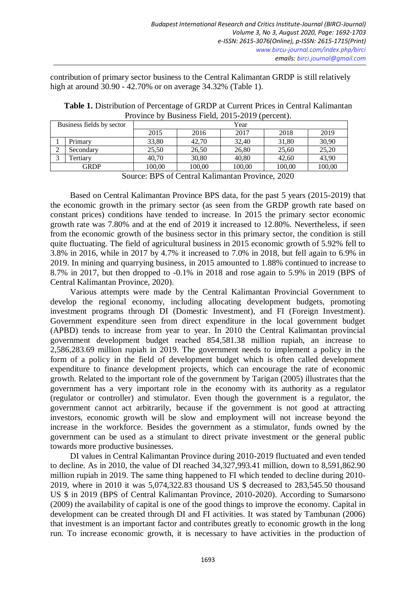contribution of primary sector business to the Central Kalimantan GRDP is still relatively high at around 30.90 - 42.70% or on average 34.32% (Table 1).

**Table 1.** Distribution of Percentage of GRDP at Current Prices in Central Kalimantan Province by Business Field, 2015-2019 (percent).

| Business fields by sector |           | Year   |        |        |        |        |  |  |
|---------------------------|-----------|--------|--------|--------|--------|--------|--|--|
|                           |           | 2015   | 2016   | 2017   | 2018   | 2019   |  |  |
|                           | Primary   | 33,80  | 42.70  | 32,40  | 31,80  | 30,90  |  |  |
| ∠                         | Secondary | 25,50  | 26,50  | 26,80  | 25,60  | 25,20  |  |  |
|                           | Tertiarv  | 40.70  | 30,80  | 40,80  | 42.60  | 43,90  |  |  |
| <b>GRDP</b>               |           | 100,00 | 100.00 | 100,00 | 100,00 | 100,00 |  |  |

Source: BPS of Central Kalimantan Province, 2020

Based on Central Kalimantan Province BPS data, for the past 5 years (2015-2019) that the economic growth in the primary sector (as seen from the GRDP growth rate based on constant prices) conditions have tended to increase. In 2015 the primary sector economic growth rate was 7.80% and at the end of 2019 it increased to 12.80%. Nevertheless, if seen from the economic growth of the business sector in this primary sector, the condition is still quite fluctuating. The field of agricultural business in 2015 economic growth of 5.92% fell to 3.8% in 2016, while in 2017 by 4.7% it increased to 7.0% in 2018, but fell again to 6.9% in 2019. In mining and quarrying business, in 2015 amounted to 1.88% continued to increase to 8.7% in 2017, but then dropped to -0.1% in 2018 and rose again to 5.9% in 2019 (BPS of Central Kalimantan Province, 2020).

Various attempts were made by the Central Kalimantan Provincial Government to develop the regional economy, including allocating development budgets, promoting investment programs through DI (Domestic Investment), and FI (Foreign Investment). Government expenditure seen from direct expenditure in the local government budget (APBD) tends to increase from year to year. In 2010 the Central Kalimantan provincial government development budget reached 854,581.38 million rupiah, an increase to 2,586,283.69 million rupiah in 2019. The government needs to implement a policy in the form of a policy in the field of development budget which is often called development expenditure to finance development projects, which can encourage the rate of economic growth. Related to the important role of the government by Tarigan (2005) illustrates that the government has a very important role in the economy with its authority as a regulator (regulator or controller) and stimulator. Even though the government is a regulator, the government cannot act arbitrarily, because if the government is not good at attracting investors, economic growth will be slow and employment will not increase beyond the increase in the workforce. Besides the government as a stimulator, funds owned by the government can be used as a stimulant to direct private investment or the general public towards more productive businesses.

DI values in Central Kalimantan Province during 2010-2019 fluctuated and even tended to decline. As in 2010, the value of DI reached 34,327,993.41 million, down to 8,591,862.90 million rupiah in 2019. The same thing happened to FI which tended to decline during 2010- 2019, where in 2010 it was 5,074,322.83 thousand US \$ decreased to 283,545.50 thousand US \$ in 2019 (BPS of Central Kalimantan Province, 2010-2020). According to Sumarsono (2009) the availability of capital is one of the good things to improve the economy. Capital in development can be created through DI and FI activities. It was stated by Tambunan (2006) that investment is an important factor and contributes greatly to economic growth in the long run. To increase economic growth, it is necessary to have activities in the production of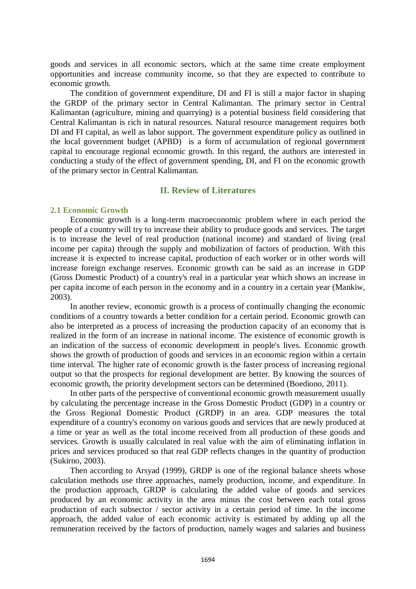goods and services in all economic sectors, which at the same time create employment opportunities and increase community income, so that they are expected to contribute to economic growth.

The condition of government expenditure, DI and FI is still a major factor in shaping the GRDP of the primary sector in Central Kalimantan. The primary sector in Central Kalimantan (agriculture, mining and quarrying) is a potential business field considering that Central Kalimantan is rich in natural resources. Natural resource management requires both DI and FI capital, as well as labor support. The government expenditure policy as outlined in the local government budget (APBD) is a form of accumulation of regional government capital to encourage regional economic growth. In this regard, the authors are interested in conducting a study of the effect of government spending, DI, and FI on the economic growth of the primary sector in Central Kalimantan.

# **II. Review of Literatures**

# **2.1 Economic Growth**

Economic growth is a long-term macroeconomic problem where in each period the people of a country will try to increase their ability to produce goods and services. The target is to increase the level of real production (national income) and standard of living (real income per capita) through the supply and mobilization of factors of production. With this increase it is expected to increase capital, production of each worker or in other words will increase foreign exchange reserves. Economic growth can be said as an increase in GDP (Gross Domestic Product) of a country's real in a particular year which shows an increase in per capita income of each person in the economy and in a country in a certain year (Mankiw, 2003).

In another review, economic growth is a process of continually changing the economic conditions of a country towards a better condition for a certain period. Economic growth can also be interpreted as a process of increasing the production capacity of an economy that is realized in the form of an increase in national income. The existence of economic growth is an indication of the success of economic development in people's lives. Economic growth shows the growth of production of goods and services in an economic region within a certain time interval. The higher rate of economic growth is the faster process of increasing regional output so that the prospects for regional development are better. By knowing the sources of economic growth, the priority development sectors can be determined (Boediono, 2011).

In other parts of the perspective of conventional economic growth measurement usually by calculating the percentage increase in the Gross Domestic Product (GDP) in a country or the Gross Regional Domestic Product (GRDP) in an area. GDP measures the total expenditure of a country's economy on various goods and services that are newly produced at a time or year as well as the total income received from all production of these goods and services. Growth is usually calculated in real value with the aim of eliminating inflation in prices and services produced so that real GDP reflects changes in the quantity of production (Sukirno, 2003).

Then according to Arsyad (1999), GRDP is one of the regional balance sheets whose calculation methods use three approaches, namely production, income, and expenditure. In the production approach, GRDP is calculating the added value of goods and services produced by an economic activity in the area minus the cost between each total gross production of each subsector / sector activity in a certain period of time. In the income approach, the added value of each economic activity is estimated by adding up all the remuneration received by the factors of production, namely wages and salaries and business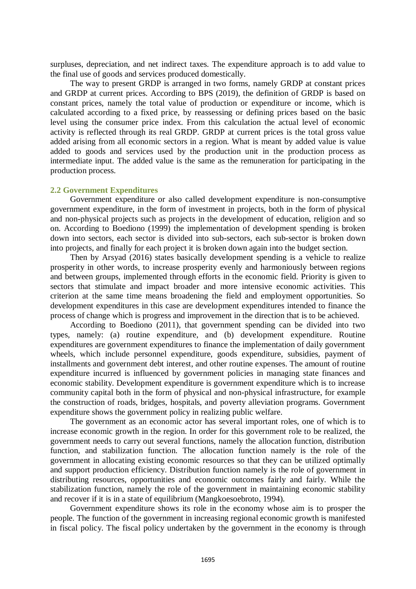surpluses, depreciation, and net indirect taxes. The expenditure approach is to add value to the final use of goods and services produced domestically.

The way to present GRDP is arranged in two forms, namely GRDP at constant prices and GRDP at current prices. According to BPS (2019), the definition of GRDP is based on constant prices, namely the total value of production or expenditure or income, which is calculated according to a fixed price, by reassessing or defining prices based on the basic level using the consumer price index. From this calculation the actual level of economic activity is reflected through its real GRDP. GRDP at current prices is the total gross value added arising from all economic sectors in a region. What is meant by added value is value added to goods and services used by the production unit in the production process as intermediate input. The added value is the same as the remuneration for participating in the production process.

#### **2.2 Government Expenditures**

Government expenditure or also called development expenditure is non-consumptive government expenditure, in the form of investment in projects, both in the form of physical and non-physical projects such as projects in the development of education, religion and so on. According to Boediono (1999) the implementation of development spending is broken down into sectors, each sector is divided into sub-sectors, each sub-sector is broken down into projects, and finally for each project it is broken down again into the budget section.

Then by Arsyad (2016) states basically development spending is a vehicle to realize prosperity in other words, to increase prosperity evenly and harmoniously between regions and between groups, implemented through efforts in the economic field. Priority is given to sectors that stimulate and impact broader and more intensive economic activities. This criterion at the same time means broadening the field and employment opportunities. So development expenditures in this case are development expenditures intended to finance the process of change which is progress and improvement in the direction that is to be achieved.

According to Boediono (2011), that government spending can be divided into two types, namely: (a) routine expenditure, and (b) development expenditure. Routine expenditures are government expenditures to finance the implementation of daily government wheels, which include personnel expenditure, goods expenditure, subsidies, payment of installments and government debt interest, and other routine expenses. The amount of routine expenditure incurred is influenced by government policies in managing state finances and economic stability. Development expenditure is government expenditure which is to increase community capital both in the form of physical and non-physical infrastructure, for example the construction of roads, bridges, hospitals, and poverty alleviation programs. Government expenditure shows the government policy in realizing public welfare.

The government as an economic actor has several important roles, one of which is to increase economic growth in the region. In order for this government role to be realized, the government needs to carry out several functions, namely the allocation function, distribution function, and stabilization function. The allocation function namely is the role of the government in allocating existing economic resources so that they can be utilized optimally and support production efficiency. Distribution function namely is the role of government in distributing resources, opportunities and economic outcomes fairly and fairly. While the stabilization function, namely the role of the government in maintaining economic stability and recover if it is in a state of equilibrium (Mangkoesoebroto, 1994).

Government expenditure shows its role in the economy whose aim is to prosper the people. The function of the government in increasing regional economic growth is manifested in fiscal policy. The fiscal policy undertaken by the government in the economy is through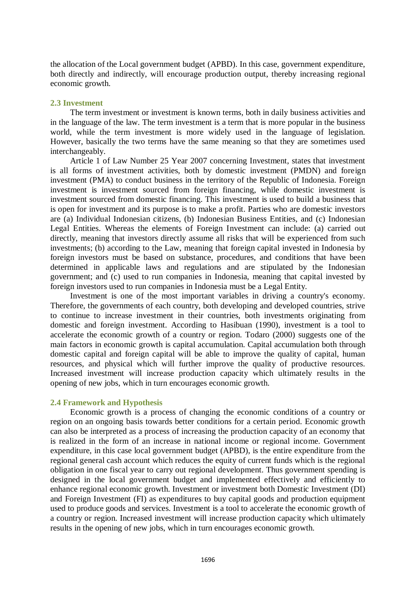the allocation of the Local government budget (APBD). In this case, government expenditure, both directly and indirectly, will encourage production output, thereby increasing regional economic growth.

### **2.3 Investment**

The term investment or investment is known terms, both in daily business activities and in the language of the law. The term investment is a term that is more popular in the business world, while the term investment is more widely used in the language of legislation. However, basically the two terms have the same meaning so that they are sometimes used interchangeably.

Article 1 of Law Number 25 Year 2007 concerning Investment, states that investment is all forms of investment activities, both by domestic investment (PMDN) and foreign investment (PMA) to conduct business in the territory of the Republic of Indonesia. Foreign investment is investment sourced from foreign financing, while domestic investment is investment sourced from domestic financing. This investment is used to build a business that is open for investment and its purpose is to make a profit. Parties who are domestic investors are (a) Individual Indonesian citizens, (b) Indonesian Business Entities, and (c) Indonesian Legal Entities. Whereas the elements of Foreign Investment can include: (a) carried out directly, meaning that investors directly assume all risks that will be experienced from such investments; (b) according to the Law, meaning that foreign capital invested in Indonesia by foreign investors must be based on substance, procedures, and conditions that have been determined in applicable laws and regulations and are stipulated by the Indonesian government; and (c) used to run companies in Indonesia, meaning that capital invested by foreign investors used to run companies in Indonesia must be a Legal Entity.

Investment is one of the most important variables in driving a country's economy. Therefore, the governments of each country, both developing and developed countries, strive to continue to increase investment in their countries, both investments originating from domestic and foreign investment. According to Hasibuan (1990), investment is a tool to accelerate the economic growth of a country or region. Todaro (2000) suggests one of the main factors in economic growth is capital accumulation. Capital accumulation both through domestic capital and foreign capital will be able to improve the quality of capital, human resources, and physical which will further improve the quality of productive resources. Increased investment will increase production capacity which ultimately results in the opening of new jobs, which in turn encourages economic growth.

#### **2.4 Framework and Hypothesis**

Economic growth is a process of changing the economic conditions of a country or region on an ongoing basis towards better conditions for a certain period. Economic growth can also be interpreted as a process of increasing the production capacity of an economy that is realized in the form of an increase in national income or regional income. Government expenditure, in this case local government budget (APBD), is the entire expenditure from the regional general cash account which reduces the equity of current funds which is the regional obligation in one fiscal year to carry out regional development. Thus government spending is designed in the local government budget and implemented effectively and efficiently to enhance regional economic growth. Investment or investment both Domestic Investment (DI) and Foreign Investment (FI) as expenditures to buy capital goods and production equipment used to produce goods and services. Investment is a tool to accelerate the economic growth of a country or region. Increased investment will increase production capacity which ultimately results in the opening of new jobs, which in turn encourages economic growth.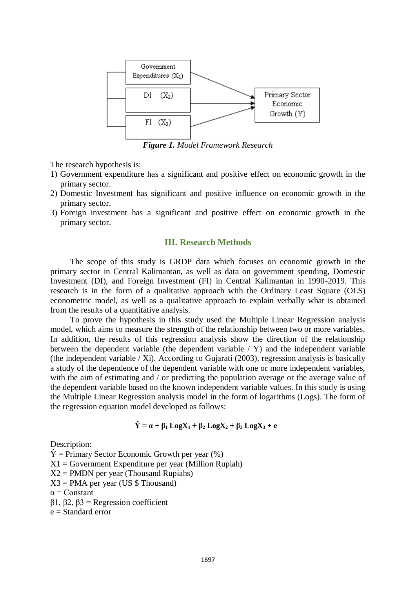

*Figure 1. Model Framework Research*

The research hypothesis is:

- 1) Government expenditure has a significant and positive effect on economic growth in the primary sector.
- 2) Domestic Investment has significant and positive influence on economic growth in the primary sector.
- 3) Foreign investment has a significant and positive effect on economic growth in the primary sector.

# **III. Research Methods**

The scope of this study is GRDP data which focuses on economic growth in the primary sector in Central Kalimantan, as well as data on government spending, Domestic Investment (DI), and Foreign Investment (FI) in Central Kalimantan in 1990-2019. This research is in the form of a qualitative approach with the Ordinary Least Square (OLS) econometric model, as well as a qualitative approach to explain verbally what is obtained from the results of a quantitative analysis.

To prove the hypothesis in this study used the Multiple Linear Regression analysis model, which aims to measure the strength of the relationship between two or more variables. In addition, the results of this regression analysis show the direction of the relationship between the dependent variable (the dependent variable / Y) and the independent variable (the independent variable / Xi). According to Gujarati (2003), regression analysis is basically a study of the dependence of the dependent variable with one or more independent variables, with the aim of estimating and / or predicting the population average or the average value of the dependent variable based on the known independent variable values. In this study is using the Multiple Linear Regression analysis model in the form of logarithms (Logs). The form of the regression equation model developed as follows:

$$
\hat{Y} = \alpha + \beta_1 \text{Log}X_1 + \beta_2 \text{Log}X_2 + \beta_3 \text{Log}X_3 + e
$$

Description:

 $\hat{Y}$  = Primary Sector Economic Growth per year (%)  $X1 = Government$  Expenditure per year (Million Rupiah)  $X2 = PMDN$  per year (Thousand Rupiahs)  $X3 = PMA$  per year (US \$ Thousand)  $\alpha$  = Constant β1, β2, β3 = Regression coefficient

e = Standard error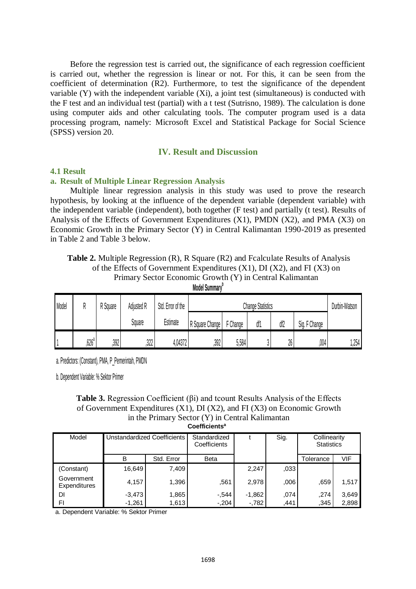Before the regression test is carried out, the significance of each regression coefficient is carried out, whether the regression is linear or not. For this, it can be seen from the coefficient of determination (R2). Furthermore, to test the significance of the dependent variable (Y) with the independent variable (Xi), a joint test (simultaneous) is conducted with the F test and an individual test (partial) with a t test (Sutrisno, 1989). The calculation is done using computer aids and other calculating tools. The computer program used is a data processing program, namely: Microsoft Excel and Statistical Package for Social Science (SPSS) version 20.

# **IV. Result and Discussion**

#### **4.1 Result**

#### **a. Result of Multiple Linear Regression Analysis**

Multiple linear regression analysis in this study was used to prove the research hypothesis, by looking at the influence of the dependent variable (dependent variable) with the independent variable (independent), both together (F test) and partially (t test). Results of Analysis of the Effects of Government Expenditures  $(X1)$ , PMDN  $(X2)$ , and PMA  $(X3)$  on Economic Growth in the Primary Sector (Y) in Central Kalimantan 1990-2019 as presented in Table 2 and Table 3 below.

**Table 2.** Multiple Regression (R), R Square (R2) and Fcalculate Results of Analysis of the Effects of Government Expenditures  $(X1)$ , DI  $(X2)$ , and FI  $(X3)$  on Primary Sector Economic Growth (Y) in Central Kalimantan

| Model |         | <sup>o</sup> Square | Adjusted R | Std. Error of the | <b>Change Statistics</b> |          |     |     |                  | Durbin-Watson |
|-------|---------|---------------------|------------|-------------------|--------------------------|----------|-----|-----|------------------|---------------|
|       |         |                     | Square     | Estimate          | R Square Change          | F Change | df1 | df2 | F Change<br>Sig. |               |
|       | $626^d$ | ,392                | ,322       | 4,04372           | ,392                     | 5,584    |     | 26  | ,004             | 1,254         |

**Model Summary<sup>b</sup>**

a. Predictors: (Constant), PMA, P\_Pemerintah, PMDN

b. Dependent Variable: % Sektor Primer

#### **Table 3.** Regression Coefficient (βi) and tcount Results Analysis of the Effects of Government Expenditures (X1), DI (X2), and FI (X3) on Economic Growth in the Primary Sector (Y) in Central Kalimantan **Coefficients<sup>a</sup>**

| Model                             | Unstandardized Coefficients |            | Standardized<br>Coefficients |          | Sig. | Collinearity<br><b>Statistics</b> |       |
|-----------------------------------|-----------------------------|------------|------------------------------|----------|------|-----------------------------------|-------|
|                                   | в                           | Std. Error | <b>Beta</b>                  |          |      | Tolerance                         | VIF   |
| (Constant)                        | 16,649                      | 7,409      |                              | 2,247    | .033 |                                   |       |
| Government<br><b>Expenditures</b> | 4,157                       | 1,396      | .561                         | 2,978    | .006 | .659                              | 1,517 |
| DI                                | $-3,473$                    | 1,865      | $-.544$                      | $-1,862$ | .074 | .274                              | 3,649 |
| FI                                | $-1,261$                    | 1,613      | $-.204$                      | $-782$   | .441 | .345                              | 2,898 |

a. Dependent Variable: % Sektor Primer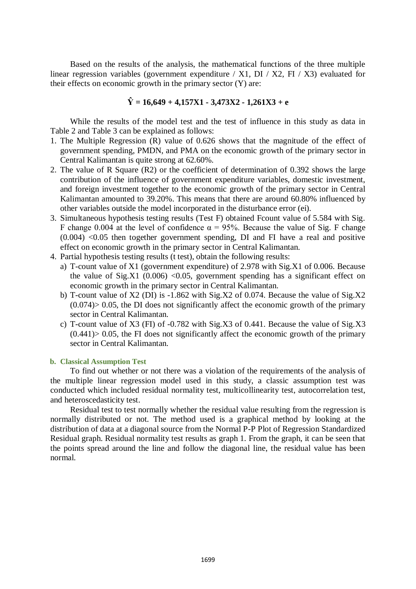Based on the results of the analysis, the mathematical functions of the three multiple linear regression variables (government expenditure / X1, DI / X2, FI / X3) evaluated for their effects on economic growth in the primary sector  $(Y)$  are:

# **Ŷ = 16,649 + 4,157X1 - 3,473X2 - 1,261X3 + e**

While the results of the model test and the test of influence in this study as data in Table 2 and Table 3 can be explained as follows:

- 1. The Multiple Regression (R) value of 0.626 shows that the magnitude of the effect of government spending, PMDN, and PMA on the economic growth of the primary sector in Central Kalimantan is quite strong at 62.60%.
- 2. The value of R Square (R2) or the coefficient of determination of 0.392 shows the large contribution of the influence of government expenditure variables, domestic investment, and foreign investment together to the economic growth of the primary sector in Central Kalimantan amounted to 39.20%. This means that there are around 60.80% influenced by other variables outside the model incorporated in the disturbance error (ei).
- 3. Simultaneous hypothesis testing results (Test F) obtained Fcount value of 5.584 with Sig. F change 0.004 at the level of confidence  $\alpha = 95\%$ . Because the value of Sig. F change  $(0.004)$  <0.05 then together government spending, DI and FI have a real and positive effect on economic growth in the primary sector in Central Kalimantan.
- 4. Partial hypothesis testing results (t test), obtain the following results:
	- a) T-count value of X1 (government expenditure) of 2.978 with Sig.X1 of 0.006. Because the value of Sig.X1 (0.006) <0.05, government spending has a significant effect on economic growth in the primary sector in Central Kalimantan.
	- b) T-count value of X2 (DI) is -1.862 with Sig.X2 of 0.074. Because the value of Sig.X2  $(0.074)$  > 0.05, the DI does not significantly affect the economic growth of the primary sector in Central Kalimantan.
	- c) T-count value of X3 (FI) of -0.782 with Sig.X3 of 0.441. Because the value of Sig.X3  $(0.441)$  > 0.05, the FI does not significantly affect the economic growth of the primary sector in Central Kalimantan.

#### **b. Classical Assumption Test**

To find out whether or not there was a violation of the requirements of the analysis of the multiple linear regression model used in this study, a classic assumption test was conducted which included residual normality test, multicollinearity test, autocorrelation test, and heteroscedasticity test.

Residual test to test normally whether the residual value resulting from the regression is normally distributed or not. The method used is a graphical method by looking at the distribution of data at a diagonal source from the Normal P-P Plot of Regression Standardized Residual graph. Residual normality test results as graph 1. From the graph, it can be seen that the points spread around the line and follow the diagonal line, the residual value has been normal.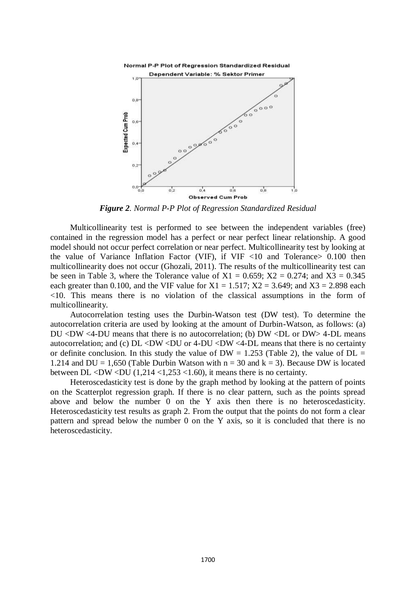



*Figure 2. Normal P-P Plot of Regression Standardized Residual*

Multicollinearity test is performed to see between the independent variables (free) contained in the regression model has a perfect or near perfect linear relationship. A good model should not occur perfect correlation or near perfect. Multicollinearity test by looking at the value of Variance Inflation Factor (VIF), if  $VIF \leq 10$  and Tolerance  $> 0.100$  then multicollinearity does not occur (Ghozali, 2011). The results of the multicollinearity test can be seen in Table 3, where the Tolerance value of  $X1 = 0.659$ ;  $X2 = 0.274$ ; and  $X3 = 0.345$ each greater than 0.100, and the VIF value for  $X1 = 1.517$ ;  $X2 = 3.649$ ; and  $X3 = 2.898$  each <10. This means there is no violation of the classical assumptions in the form of multicollinearity.

Autocorrelation testing uses the Durbin-Watson test (DW test). To determine the autocorrelation criteria are used by looking at the amount of Durbin-Watson, as follows: (a) DU  $\langle$ DW  $\langle$ 4-DU means that there is no autocorrelation; (b) DW  $\langle$ DL or DW  $>$ 4-DL means autocorrelation; and (c)  $DL < DW < DU$  or 4- $DU < DW < 4-DL$  means that there is no certainty or definite conclusion. In this study the value of  $DW = 1.253$  (Table 2), the value of  $DL =$ 1.214 and DU = 1,650 (Table Durbin Watson with  $n = 30$  and  $k = 3$ ). Because DW is located between DL <DW <DU  $(1,214 \lt 1,253 \lt 1.60)$ , it means there is no certainty.

Heteroscedasticity test is done by the graph method by looking at the pattern of points on the Scatterplot regression graph. If there is no clear pattern, such as the points spread above and below the number 0 on the Y axis then there is no heteroscedasticity. Heteroscedasticity test results as graph 2. From the output that the points do not form a clear pattern and spread below the number 0 on the Y axis, so it is concluded that there is no heteroscedasticity.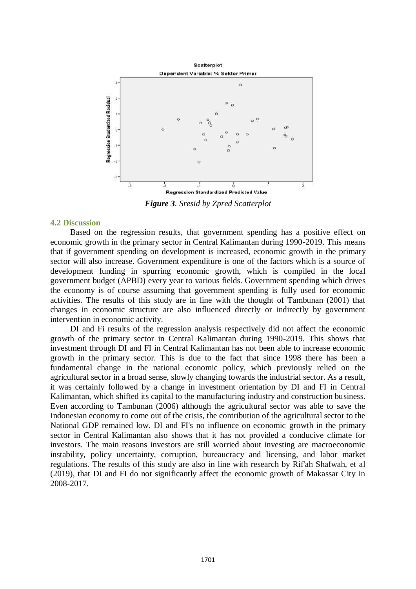

*Figure 3. Sresid by Zpred Scatterplot*

#### **4.2 Discussion**

Based on the regression results, that government spending has a positive effect on economic growth in the primary sector in Central Kalimantan during 1990-2019. This means that if government spending on development is increased, economic growth in the primary sector will also increase. Government expenditure is one of the factors which is a source of development funding in spurring economic growth, which is compiled in the local government budget (APBD) every year to various fields. Government spending which drives the economy is of course assuming that government spending is fully used for economic activities. The results of this study are in line with the thought of Tambunan (2001) that changes in economic structure are also influenced directly or indirectly by government intervention in economic activity.

DI and Fi results of the regression analysis respectively did not affect the economic growth of the primary sector in Central Kalimantan during 1990-2019. This shows that investment through DI and FI in Central Kalimantan has not been able to increase economic growth in the primary sector. This is due to the fact that since 1998 there has been a fundamental change in the national economic policy, which previously relied on the agricultural sector in a broad sense, slowly changing towards the industrial sector. As a result, it was certainly followed by a change in investment orientation by DI and FI in Central Kalimantan, which shifted its capital to the manufacturing industry and construction business. Even according to Tambunan (2006) although the agricultural sector was able to save the Indonesian economy to come out of the crisis, the contribution of the agricultural sector to the National GDP remained low. DI and FI's no influence on economic growth in the primary sector in Central Kalimantan also shows that it has not provided a conducive climate for investors. The main reasons investors are still worried about investing are macroeconomic instability, policy uncertainty, corruption, bureaucracy and licensing, and labor market regulations. The results of this study are also in line with research by Rif'ah Shafwah, et al (2019), that DI and FI do not significantly affect the economic growth of Makassar City in 2008-2017.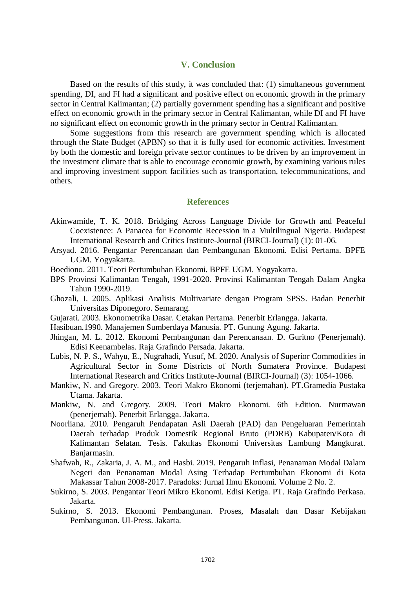# **V. Conclusion**

Based on the results of this study, it was concluded that: (1) simultaneous government spending, DI, and FI had a significant and positive effect on economic growth in the primary sector in Central Kalimantan; (2) partially government spending has a significant and positive effect on economic growth in the primary sector in Central Kalimantan, while DI and FI have no significant effect on economic growth in the primary sector in Central Kalimantan.

Some suggestions from this research are government spending which is allocated through the State Budget (APBN) so that it is fully used for economic activities. Investment by both the domestic and foreign private sector continues to be driven by an improvement in the investment climate that is able to encourage economic growth, by examining various rules and improving investment support facilities such as transportation, telecommunications, and others.

#### **References**

- Akinwamide, T. K. 2018. Bridging Across Language Divide for Growth and Peaceful Coexistence: A Panacea for Economic Recession in a Multilingual Nigeria. Budapest International Research and Critics Institute-Journal (BIRCI-Journal) (1): 01-06.
- Arsyad. 2016. Pengantar Perencanaan dan Pembangunan Ekonomi. Edisi Pertama. BPFE UGM. Yogyakarta.
- Boediono. 2011. Teori Pertumbuhan Ekonomi. BPFE UGM. Yogyakarta.
- BPS Provinsi Kalimantan Tengah, 1991-2020. Provinsi Kalimantan Tengah Dalam Angka Tahun 1990-2019.
- Ghozali, I. 2005. Aplikasi Analisis Multivariate dengan Program SPSS. Badan Penerbit Universitas Diponegoro. Semarang.
- Gujarati. 2003. Ekonometrika Dasar. Cetakan Pertama. Penerbit Erlangga. Jakarta.
- Hasibuan.1990. Manajemen Sumberdaya Manusia. PT. Gunung Agung. Jakarta.
- Jhingan, M. L. 2012. Ekonomi Pembangunan dan Perencanaan. D. Guritno (Penerjemah). Edisi Keenambelas. Raja Grafindo Persada. Jakarta.
- Lubis, N. P. S., Wahyu, E., Nugrahadi, Yusuf, M. 2020. Analysis of Superior Commodities in Agricultural Sector in Some Districts of North Sumatera Province. Budapest International Research and Critics Institute-Journal (BIRCI-Journal) (3): 1054-1066.
- Mankiw, N. and Gregory. 2003. Teori Makro Ekonomi (terjemahan). PT.Gramedia Pustaka Utama. Jakarta.
- Mankiw, N. and Gregory. 2009. Teori Makro Ekonomi. 6th Edition. Nurmawan (penerjemah). Penerbit Erlangga. Jakarta.
- Noorliana. 2010. Pengaruh Pendapatan Asli Daerah (PAD) dan Pengeluaran Pemerintah Daerah terhadap Produk Domestik Regional Bruto (PDRB) Kabupaten/Kota di Kalimantan Selatan. Tesis. Fakultas Ekonomi Universitas Lambung Mangkurat. Banjarmasin.
- Shafwah, R., Zakaria, J. A. M., and Hasbi. 2019. Pengaruh Inflasi, Penanaman Modal Dalam Negeri dan Penanaman Modal Asing Terhadap Pertumbuhan Ekonomi di Kota Makassar Tahun 2008-2017. Paradoks: Jurnal Ilmu Ekonomi. Volume 2 No. 2.
- Sukirno, S. 2003. Pengantar Teori Mikro Ekonomi. Edisi Ketiga. PT. Raja Grafindo Perkasa. Jakarta.
- Sukirno, S. 2013. Ekonomi Pembangunan. Proses, Masalah dan Dasar Kebijakan Pembangunan. UI-Press. Jakarta.